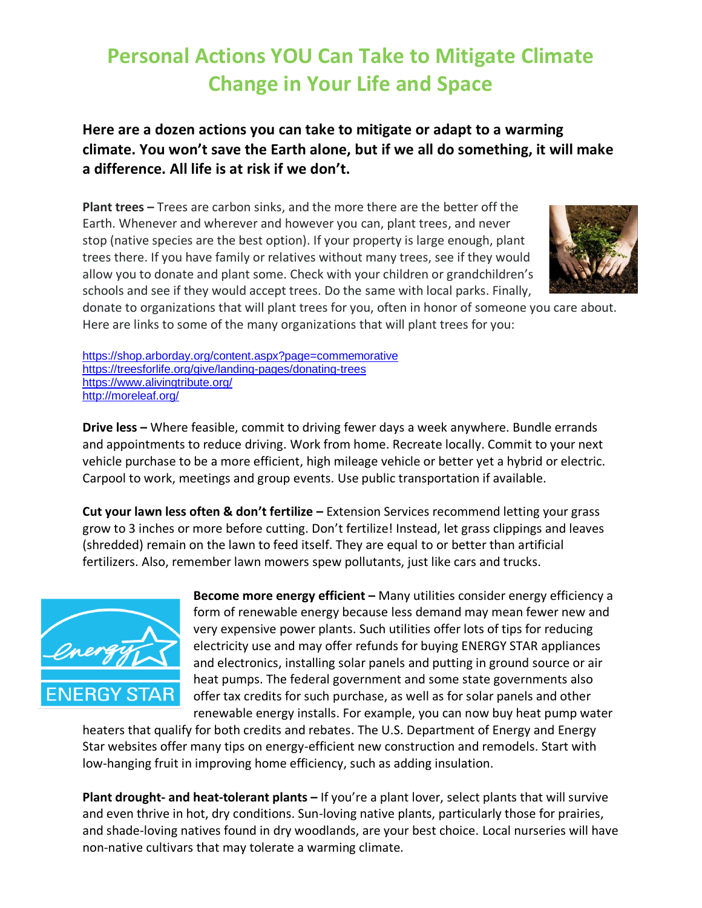## **Personal Actions YOU Can Take to Mitigate Climate Change in Your Life and Space**

## **Here are a dozen actions you can take to mitigate or adapt to a warming climate. You won't save the Earth alone, but if we all do something, it will make a difference. All life is at risk if we don't.**

**Plant trees –** Trees are carbon sinks, and the more there are the better off the Earth. Whenever and wherever and however you can, plant trees, and never stop (native species are the best option). If your property is large enough, plant trees there. If you have family or relatives without many trees, see if they would allow you to donate and plant some. Check with your children or grandchildren's schools and see if they would accept trees. Do the same with local parks. Finally,



donate to organizations that will plant trees for you, often in honor of someone you care about. Here are links to some of the many organizations that will plant trees for you:

<https://shop.arborday.org/content.aspx?page=commemorative> <https://treesforlife.org/give/landing-pages/donating-trees> <https://www.alivingtribute.org/> <http://moreleaf.org/>

**Drive less –** Where feasible, commit to driving fewer days a week anywhere. Bundle errands and appointments to reduce driving. Work from home. Recreate locally. Commit to your next vehicle purchase to be a more efficient, high mileage vehicle or better yet a hybrid or electric. Carpool to work, meetings and group events. Use public transportation if available.

**Cut your lawn less often & don't fertilize –** Extension Services recommend letting your grass grow to 3 inches or more before cutting. Don't fertilize! Instead, let grass clippings and leaves (shredded) remain on the lawn to feed itself. They are equal to or better than artificial fertilizers. Also, remember lawn mowers spew pollutants, just like cars and trucks.



**Become more energy efficient –** Many utilities consider energy efficiency a form of renewable energy because less demand may mean fewer new and very expensive power plants. Such utilities offer lots of tips for reducing electricity use and may offer refunds for buying ENERGY STAR appliances and electronics, installing solar panels and putting in ground source or air heat pumps. The federal government and some state governments also offer tax credits for such purchase, as well as for solar panels and other renewable energy installs. For example, you can now buy heat pump water

heaters that qualify for both credits and rebates. The U.S. Department of Energy and Energy Star websites offer many tips on energy-efficient new construction and remodels. Start with low-hanging fruit in improving home efficiency, such as adding insulation.

**Plant drought- and heat-tolerant plants –** If you're a plant lover, select plants that will survive and even thrive in hot, dry conditions. Sun-loving native plants, particularly those for prairies, and shade-loving natives found in dry woodlands, are your best choice. Local nurseries will have non-native cultivars that may tolerate a warming climate.